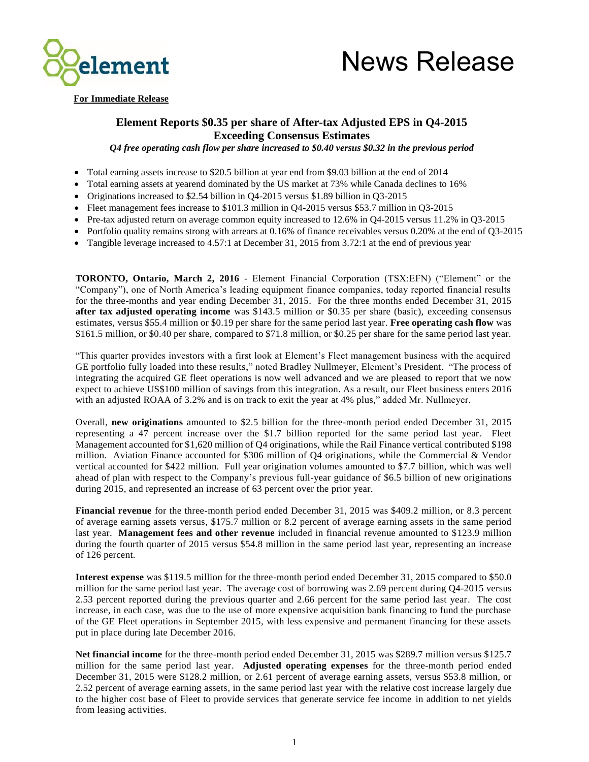



#### **For Immediate Release**

### **Element Reports \$0.35 per share of After-tax Adjusted EPS in Q4-2015 Exceeding Consensus Estimates**

*Q4 free operating cash flow per share increased to \$0.40 versus \$0.32 in the previous period*

- Total earning assets increase to \$20.5 billion at year end from \$9.03 billion at the end of 2014
- Total earning assets at yearend dominated by the US market at 73% while Canada declines to 16%
- Originations increased to \$2.54 billion in Q4-2015 versus \$1.89 billion in Q3-2015
- Fleet management fees increase to  $$101.3$  million in Q4-2015 versus \$53.7 million in Q3-2015
- Pre-tax adjusted return on average common equity increased to 12.6% in Q4-2015 versus 11.2% in Q3-2015
- Portfolio quality remains strong with arrears at 0.16% of finance receivables versus 0.20% at the end of Q3-2015
- Tangible leverage increased to 4.57:1 at December 31, 2015 from 3.72:1 at the end of previous year

**TORONTO, Ontario, March 2, 2016** - Element Financial Corporation (TSX:EFN) ("Element" or the "Company"), one of North America's leading equipment finance companies, today reported financial results for the three-months and year ending December 31, 2015. For the three months ended December 31, 2015 **after tax adjusted operating income** was \$143.5 million or \$0.35 per share (basic), exceeding consensus estimates, versus \$55.4 million or \$0.19 per share for the same period last year. **Free operating cash flow** was \$161.5 million, or \$0.40 per share, compared to \$71.8 million, or \$0.25 per share for the same period last year.

"This quarter provides investors with a first look at Element's Fleet management business with the acquired GE portfolio fully loaded into these results," noted Bradley Nullmeyer, Element's President. "The process of integrating the acquired GE fleet operations is now well advanced and we are pleased to report that we now expect to achieve US\$100 million of savings from this integration. As a result, our Fleet business enters 2016 with an adjusted ROAA of 3.2% and is on track to exit the year at 4% plus," added Mr. Nullmeyer.

Overall, **new originations** amounted to \$2.5 billion for the three-month period ended December 31, 2015 representing a 47 percent increase over the \$1.7 billion reported for the same period last year. Fleet Management accounted for \$1,620 million of Q4 originations, while the Rail Finance vertical contributed \$198 million. Aviation Finance accounted for \$306 million of Q4 originations, while the Commercial & Vendor vertical accounted for \$422 million. Full year origination volumes amounted to \$7.7 billion, which was well ahead of plan with respect to the Company's previous full-year guidance of \$6.5 billion of new originations during 2015, and represented an increase of 63 percent over the prior year.

**Financial revenue** for the three-month period ended December 31, 2015 was \$409.2 million, or 8.3 percent of average earning assets versus, \$175.7 million or 8.2 percent of average earning assets in the same period last year. **Management fees and other revenue** included in financial revenue amounted to \$123.9 million during the fourth quarter of 2015 versus \$54.8 million in the same period last year, representing an increase of 126 percent.

**Interest expense** was \$119.5 million for the three-month period ended December 31, 2015 compared to \$50.0 million for the same period last year. The average cost of borrowing was 2.69 percent during Q4-2015 versus 2.53 percent reported during the previous quarter and 2.66 percent for the same period last year. The cost increase, in each case, was due to the use of more expensive acquisition bank financing to fund the purchase of the GE Fleet operations in September 2015, with less expensive and permanent financing for these assets put in place during late December 2016.

**Net financial income** for the three-month period ended December 31, 2015 was \$289.7 million versus \$125.7 million for the same period last year. **Adjusted operating expenses** for the three-month period ended December 31, 2015 were \$128.2 million, or 2.61 percent of average earning assets, versus \$53.8 million, or 2.52 percent of average earning assets, in the same period last year with the relative cost increase largely due to the higher cost base of Fleet to provide services that generate service fee income in addition to net yields from leasing activities.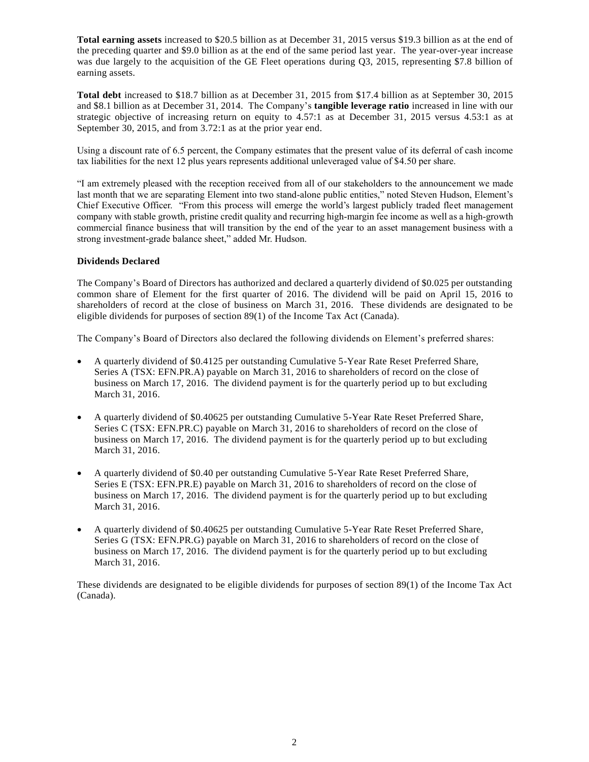**Total earning assets** increased to \$20.5 billion as at December 31, 2015 versus \$19.3 billion as at the end of the preceding quarter and \$9.0 billion as at the end of the same period last year. The year-over-year increase was due largely to the acquisition of the GE Fleet operations during Q3, 2015, representing \$7.8 billion of earning assets.

**Total debt** increased to \$18.7 billion as at December 31, 2015 from \$17.4 billion as at September 30, 2015 and \$8.1 billion as at December 31, 2014. The Company's **tangible leverage ratio** increased in line with our strategic objective of increasing return on equity to 4.57:1 as at December 31, 2015 versus 4.53:1 as at September 30, 2015, and from 3.72:1 as at the prior year end.

Using a discount rate of 6.5 percent, the Company estimates that the present value of its deferral of cash income tax liabilities for the next 12 plus years represents additional unleveraged value of \$4.50 per share.

"I am extremely pleased with the reception received from all of our stakeholders to the announcement we made last month that we are separating Element into two stand-alone public entities," noted Steven Hudson, Element's Chief Executive Officer. "From this process will emerge the world's largest publicly traded fleet management company with stable growth, pristine credit quality and recurring high-margin fee income as well as a high-growth commercial finance business that will transition by the end of the year to an asset management business with a strong investment-grade balance sheet," added Mr. Hudson.

### **Dividends Declared**

The Company's Board of Directors has authorized and declared a quarterly dividend of \$0.025 per outstanding common share of Element for the first quarter of 2016. The dividend will be paid on April 15, 2016 to shareholders of record at the close of business on March 31, 2016. These dividends are designated to be eligible dividends for purposes of section 89(1) of the Income Tax Act (Canada).

The Company's Board of Directors also declared the following dividends on Element's preferred shares:

- A quarterly dividend of \$0.4125 per outstanding Cumulative 5-Year Rate Reset Preferred Share, Series A (TSX: EFN.PR.A) payable on March 31, 2016 to shareholders of record on the close of business on March 17, 2016. The dividend payment is for the quarterly period up to but excluding March 31, 2016.
- A quarterly dividend of \$0.40625 per outstanding Cumulative 5-Year Rate Reset Preferred Share, Series C (TSX: EFN.PR.C) payable on March 31, 2016 to shareholders of record on the close of business on March 17, 2016. The dividend payment is for the quarterly period up to but excluding March 31, 2016.
- A quarterly dividend of \$0.40 per outstanding Cumulative 5-Year Rate Reset Preferred Share, Series E (TSX: EFN.PR.E) payable on March 31, 2016 to shareholders of record on the close of business on March 17, 2016. The dividend payment is for the quarterly period up to but excluding March 31, 2016.
- A quarterly dividend of \$0.40625 per outstanding Cumulative 5-Year Rate Reset Preferred Share, Series G (TSX: EFN.PR.G) payable on March 31, 2016 to shareholders of record on the close of business on March 17, 2016. The dividend payment is for the quarterly period up to but excluding March 31, 2016.

These dividends are designated to be eligible dividends for purposes of section 89(1) of the Income Tax Act (Canada).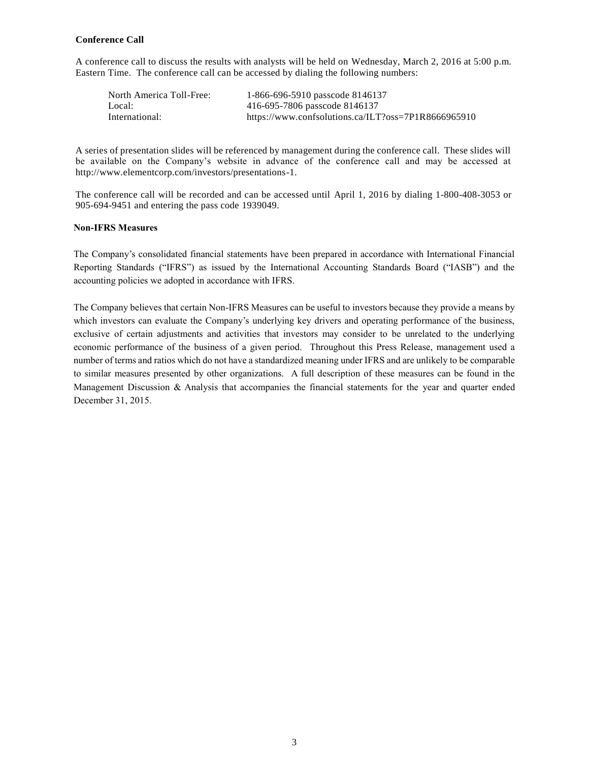### **Conference Call**

A conference call to discuss the results with analysts will be held on Wednesday, March 2, 2016 at 5:00 p.m. Eastern Time. The conference call can be accessed by dialing the following numbers:

| North America Toll-Free: | 1-866-696-5910 passcode 8146137                     |
|--------------------------|-----------------------------------------------------|
| Local:                   | 416-695-7806 passcode 8146137                       |
| International:           | https://www.confsolutions.ca/ILT?oss=7P1R8666965910 |

A series of presentation slides will be referenced by management during the conference call. These slides will be available on the Company's website in advance of the conference call and may be accessed at [http://www.elementcorp.com/investors/presentations-1.](http://www.elementcorp.com/investors/presentations-1)

The conference call will be recorded and can be accessed until April 1, 2016 by dialing 1-800-408-3053 or 905-694-9451 and entering the pass code 1939049.

#### **Non-IFRS Measures**

The Company's consolidated financial statements have been prepared in accordance with International Financial Reporting Standards ("IFRS") as issued by the International Accounting Standards Board ("IASB") and the accounting policies we adopted in accordance with IFRS.

The Company believes that certain Non-IFRS Measures can be useful to investors because they provide a means by which investors can evaluate the Company's underlying key drivers and operating performance of the business, exclusive of certain adjustments and activities that investors may consider to be unrelated to the underlying economic performance of the business of a given period. Throughout this Press Release, management used a number of terms and ratios which do not have a standardized meaning under IFRS and are unlikely to be comparable to similar measures presented by other organizations. A full description of these measures can be found in the Management Discussion  $\&$  Analysis that accompanies the financial statements for the year and quarter ended December 31, 2015.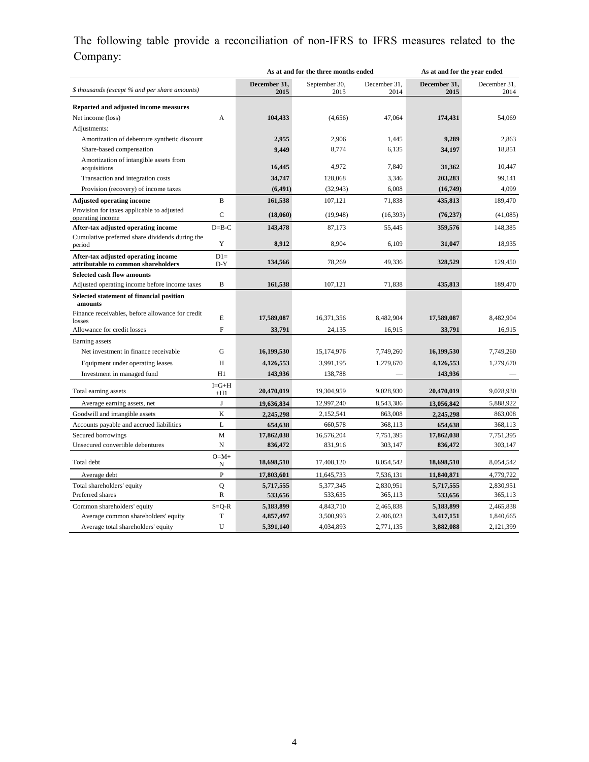# The following table provide a reconciliation of non-IFRS to IFRS measures related to the Company:

|                                                                            |                      |                      | As at and for the three months ended |                      | As at and for the year ended |                      |
|----------------------------------------------------------------------------|----------------------|----------------------|--------------------------------------|----------------------|------------------------------|----------------------|
| \$ thousands (except % and per share amounts)                              |                      | December 31,<br>2015 | September 30,<br>2015                | December 31.<br>2014 | December 31,<br>2015         | December 31,<br>2014 |
| Reported and adjusted income measures                                      |                      |                      |                                      |                      |                              |                      |
| Net income (loss)                                                          | A                    | 104,433              | (4,656)                              | 47,064               | 174,431                      | 54,069               |
| Adjustments:                                                               |                      |                      |                                      |                      |                              |                      |
| Amortization of debenture synthetic discount                               |                      | 2,955                | 2,906                                | 1,445                | 9,289                        | 2.863                |
| Share-based compensation                                                   |                      | 9,449                | 8,774                                | 6,135                | 34,197                       | 18,851               |
| Amortization of intangible assets from<br>acquisitions                     |                      | 16,445               | 4.972                                | 7.840                | 31,362                       | 10.447               |
| Transaction and integration costs                                          |                      | 34,747               | 128,068                              | 3,346                | 203,283                      | 99,141               |
| Provision (recovery) of income taxes                                       |                      | (6, 491)             | (32, 943)                            | 6,008                | (16,749)                     | 4,099                |
| <b>Adjusted operating income</b>                                           | $\mathbf B$          | 161,538              | 107,121                              | 71,838               | 435,813                      | 189,470              |
| Provision for taxes applicable to adjusted<br>operating income             | $\mathbf C$          | (18,060)             | (19, 948)                            | (16, 393)            | (76, 237)                    | (41,085)             |
| After-tax adjusted operating income                                        | $D = B - C$          | 143,478              | 87.173                               | 55,445               | 359,576                      | 148,385              |
| Cumulative preferred share dividends during the<br>period                  | Y                    | 8,912                | 8,904                                | 6,109                | 31,047                       | 18,935               |
| After-tax adjusted operating income<br>attributable to common shareholders | $D1=$<br>$D-Y$       | 134,566              | 78,269                               | 49,336               | 328,529                      | 129,450              |
| <b>Selected cash flow amounts</b>                                          |                      |                      |                                      |                      |                              |                      |
| Adjusted operating income before income taxes                              | $\mathbf B$          | 161,538              | 107,121                              | 71,838               | 435,813                      | 189,470              |
| Selected statement of financial position<br>amounts                        |                      |                      |                                      |                      |                              |                      |
| Finance receivables, before allowance for credit<br>losses                 | E                    | 17,589,087           | 16,371,356                           | 8,482,904            | 17,589,087                   | 8,482,904            |
| Allowance for credit losses                                                | $\mathbf{F}$         | 33,791               | 24,135                               | 16,915               | 33,791                       | 16,915               |
| Earning assets                                                             |                      |                      |                                      |                      |                              |                      |
| Net investment in finance receivable                                       | G                    | 16,199,530           | 15,174,976                           | 7,749,260            | 16,199,530                   | 7,749,260            |
| Equipment under operating leases                                           | H                    | 4,126,553            | 3,991,195                            | 1,279,670            | 4,126,553                    | 1,279,670            |
| Investment in managed fund                                                 | H1                   | 143,936              | 138,788                              |                      | 143,936                      |                      |
| Total earning assets                                                       | $I = G + H$<br>$+H1$ | 20,470,019           | 19,304,959                           | 9,028,930            | 20,470,019                   | 9,028,930            |
| Average earning assets, net                                                | J                    | 19,636,834           | 12,997,240                           | 8,543,386            | 13,056,842                   | 5,888,922            |
| Goodwill and intangible assets                                             | $\mathbf K$          | 2,245,298            | 2,152,541                            | 863,008              | 2,245,298                    | 863,008              |
| Accounts payable and accrued liabilities                                   | L                    | 654,638              | 660,578                              | 368,113              | 654,638                      | 368,113              |
| Secured borrowings                                                         | M                    | 17,862,038           | 16,576,204                           | 7,751,395            | 17,862,038                   | 7,751,395            |
| Unsecured convertible debentures                                           | $\mathbf N$          | 836,472              | 831,916                              | 303,147              | 836,472                      | 303,147              |
| Total debt                                                                 | $O=M+$<br>N          | 18,698,510           | 17,408,120                           | 8,054,542            | 18,698,510                   | 8,054,542            |
| Average debt                                                               | $\mathbf{P}$         | 17,803,601           | 11,645,733                           | 7,536,131            | 11,840,871                   | 4,779,722            |
| Total shareholders' equity                                                 | Q                    | 5,717,555            | 5,377,345                            | 2,830,951            | 5,717,555                    | 2,830,951            |
| Preferred shares                                                           | $\mathbb{R}$         | 533,656              | 533,635                              | 365,113              | 533,656                      | 365,113              |
| Common shareholders' equity                                                | $S = Q - R$          | 5,183,899            | 4,843,710                            | 2,465,838            | 5,183,899                    | 2,465,838            |
| Average common shareholders' equity                                        | $\mathbf T$          | 4,857,497            | 3,500,993                            | 2,406,023            | 3,417,151                    | 1,840,665            |
| Average total shareholders' equity                                         | U                    | 5,391,140            | 4,034,893                            | 2,771,135            | 3,882,088                    | 2,121,399            |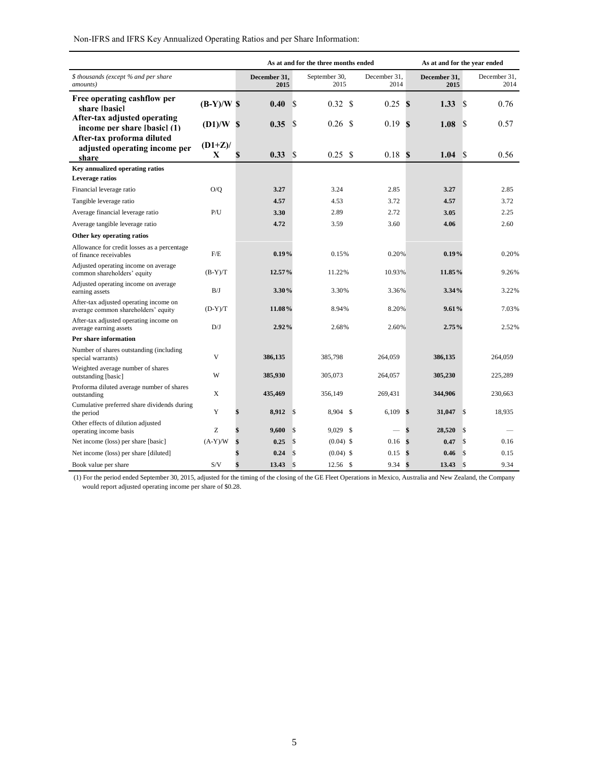| Non-IFRS and IFRS Key Annualized Operating Ratios and per Share Information: |  |  |
|------------------------------------------------------------------------------|--|--|
|                                                                              |  |  |

|                                                                               |                |                      |               | As at and for the three months ended |               |                      |    | As at and for the year ended |               |                      |
|-------------------------------------------------------------------------------|----------------|----------------------|---------------|--------------------------------------|---------------|----------------------|----|------------------------------|---------------|----------------------|
| \$ thousands (except % and per share<br>amounts)                              |                | December 31.<br>2015 |               | September 30,<br>2015                |               | December 31,<br>2014 |    | December 31.<br>2015         |               | December 31.<br>2014 |
| Free operating cashflow per<br>share [hasic]                                  | $(B-Y)/W$ \$   | 0.40                 | <sup>\$</sup> | 0.32                                 | <sup>\$</sup> | 0.25                 | S  | 1.33                         | \$.           | 0.76                 |
| After-tax adjusted operating<br>income per share [basic] (1)                  | $(D1)/W$ \$    | 0.35                 | <sup>S</sup>  | $0.26$ \$                            |               | 0.19                 | S  | 1.08                         | \$            | 0.57                 |
| After-tax proforma diluted<br>adjusted operating income per<br>share          | $(D1+Z)/$<br>X | 0.33                 | <sup>S</sup>  | 0.25 S                               |               | 0.18S                |    | 1.04                         | <sup>\$</sup> | 0.56                 |
| Key annualized operating ratios<br>Leverage ratios                            |                |                      |               |                                      |               |                      |    |                              |               |                      |
| Financial leverage ratio                                                      | O/Q            | 3.27                 |               | 3.24                                 |               | 2.85                 |    | 3.27                         |               | 2.85                 |
| Tangible leverage ratio                                                       |                | 4.57                 |               | 4.53                                 |               | 3.72                 |    | 4.57                         |               | 3.72                 |
| Average financial leverage ratio                                              | P/U            | 3.30                 |               | 2.89                                 |               | 2.72                 |    | 3.05                         |               | 2.25                 |
| Average tangible leverage ratio                                               |                | 4.72                 |               | 3.59                                 |               | 3.60                 |    | 4.06                         |               | 2.60                 |
| Other key operating ratios                                                    |                |                      |               |                                      |               |                      |    |                              |               |                      |
| Allowance for credit losses as a percentage<br>of finance receivables         | F/E            | 0.19%                |               | 0.15%                                |               | 0.20%                |    | 0.19%                        |               | 0.20%                |
| Adjusted operating income on average<br>common shareholders' equity           | $(B-Y)/T$      | 12.57%               |               | 11.22%                               |               | 10.93%               |    | 11.85%                       |               | 9.26%                |
| Adjusted operating income on average<br>earning assets                        | B/J            | 3.30%                |               | 3.30%                                |               | 3.36%                |    | 3.34%                        |               | 3.22%                |
| After-tax adjusted operating income on<br>average common shareholders' equity | $(D-Y)/T$      | 11.08%               |               | 8.94%                                |               | 8.20%                |    | 9.61%                        |               | 7.03%                |
| After-tax adjusted operating income on<br>average earning assets              | D/J            | 2.92%                |               | 2.68%                                |               | 2.60%                |    | 2.75%                        |               | 2.52%                |
| Per share information                                                         |                |                      |               |                                      |               |                      |    |                              |               |                      |
| Number of shares outstanding (including)<br>special warrants)                 | V              | 386,135              |               | 385,798                              |               | 264,059              |    | 386,135                      |               | 264,059              |
| Weighted average number of shares<br>outstanding [basic]                      | W              | 385,930              |               | 305,073                              |               | 264,057              |    | 305,230                      |               | 225,289              |
| Proforma diluted average number of shares<br>outstanding                      | X              | 435,469              |               | 356,149                              |               | 269,431              |    | 344,906                      |               | 230,663              |
| Cumulative preferred share dividends during<br>the period                     | Y              | 8,912                | $\mathbb{S}$  | 8,904 \$                             |               | 6,109                | \$ | 31,047                       | $\mathcal{S}$ | 18,935               |
| Other effects of dilution adjusted<br>operating income basis                  | Z              | 9,600                | \$            | 9,029 \$                             |               |                      | \$ | 28,520                       | \$            |                      |
| Net income (loss) per share [basic]                                           | $(A-Y)/W$      | 0.25                 | \$            | $(0.04)$ \$                          |               | 0.16                 | \$ | 0.47                         | $\mathcal{S}$ | 0.16                 |
| Net income (loss) per share [diluted]                                         |                | 0.24                 | \$            | $(0.04)$ \$                          |               | 0.15                 | \$ | 0.46                         | \$            | 0.15                 |
| Book value per share                                                          | S/V            | 13.43                | $\mathcal{S}$ | $12.56$ \$                           |               | 9.34                 | \$ | 13.43                        | $\mathcal{S}$ | 9.34                 |

(1) For the period ended September 30, 2015, adjusted for the timing of the closing of the GE Fleet Operations in Mexico, Australia and New Zealand, the Company would report adjusted operating income per share of \$0.28.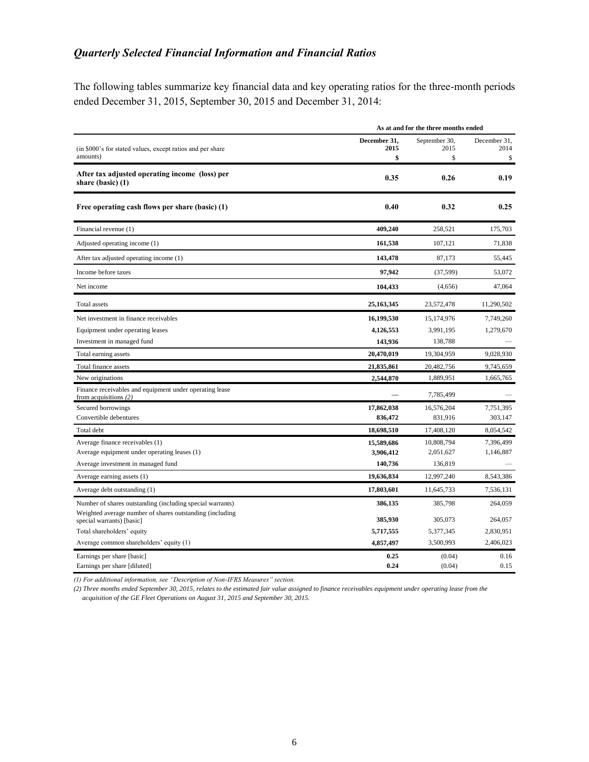## *Quarterly Selected Financial Information and Financial Ratios*

The following tables summarize key financial data and key operating ratios for the three-month periods ended December 31, 2015, September 30, 2015 and December 31, 2014:

|                                                                                       | As at and for the three months ended |                             |                            |  |  |  |
|---------------------------------------------------------------------------------------|--------------------------------------|-----------------------------|----------------------------|--|--|--|
| (in \$000's for stated values, except ratios and per share<br>amounts)                | December 31.<br>2015<br>\$           | September 30,<br>2015<br>\$ | December 31.<br>2014<br>\$ |  |  |  |
| After tax adjusted operating income (loss) per<br>share (basic) (1)                   | 0.35                                 | 0.26                        | 0.19                       |  |  |  |
| Free operating cash flows per share (basic) (1)                                       | 0.40                                 | 0.32                        | 0.25                       |  |  |  |
| Financial revenue (1)                                                                 | 409,240                              | 258,521                     | 175,703                    |  |  |  |
| Adjusted operating income (1)                                                         | 161,538                              | 107,121                     | 71,838                     |  |  |  |
| After tax adjusted operating income (1)                                               | 143,478                              | 87,173                      | 55,445                     |  |  |  |
| Income before taxes                                                                   | 97,942                               | (37, 599)                   | 53,072                     |  |  |  |
| Net income                                                                            | 104,433                              | (4,656)                     | 47,064                     |  |  |  |
| Total assets                                                                          | 25, 163, 345                         | 23,572,478                  | 11,290,502                 |  |  |  |
| Net investment in finance receivables                                                 | 16,199,530                           | 15,174,976                  | 7,749,260                  |  |  |  |
| Equipment under operating leases                                                      | 4,126,553                            | 3,991,195                   | 1,279,670                  |  |  |  |
| Investment in managed fund                                                            | 143,936                              | 138,788                     |                            |  |  |  |
| Total earning assets                                                                  | 20,470,019                           | 19,304,959                  | 9,028,930                  |  |  |  |
| Total finance assets                                                                  | 21,835,861                           | 20,482,756                  | 9,745,659                  |  |  |  |
| New originations                                                                      | 2,544,870                            | 1,889,951                   | 1,665,765                  |  |  |  |
| Finance receivables and equipment under operating lease<br>from acquisitions $(2)$    |                                      | 7,785,499                   |                            |  |  |  |
| Secured borrowings                                                                    | 17,862,038                           | 16,576,204                  | 7,751,395                  |  |  |  |
| Convertible debentures                                                                | 836,472                              | 831,916                     | 303,147                    |  |  |  |
| Total debt                                                                            | 18,698,510                           | 17,408,120                  | 8,054,542                  |  |  |  |
| Average finance receivables (1)                                                       | 15,589,686                           | 10,808,794                  | 7,396,499                  |  |  |  |
| Average equipment under operating leases (1)                                          | 3,906,412                            | 2,051,627                   | 1,146,887                  |  |  |  |
| Average investment in managed fund                                                    | 140,736                              | 136,819                     |                            |  |  |  |
| Average earning assets (1)                                                            | 19,636,834                           | 12,997,240                  | 8,543,386                  |  |  |  |
| Average debt outstanding (1)                                                          | 17,803,601                           | 11,645,733                  | 7,536,131                  |  |  |  |
| Number of shares outstanding (including special warrants)                             | 386,135                              | 385,798                     | 264,059                    |  |  |  |
| Weighted average number of shares outstanding (including<br>special warrants) [basic] | 385,930                              | 305,073                     | 264,057                    |  |  |  |
| Total shareholders' equity                                                            | 5,717,555                            | 5,377,345                   | 2,830,951                  |  |  |  |
| Average common shareholders' equity (1)                                               | 4,857,497                            | 3,500,993                   | 2,406,023                  |  |  |  |
| Earnings per share [basic]<br>Earnings per share [diluted]                            | 0.25<br>0.24                         | (0.04)<br>(0.04)            | 0.16<br>0.15               |  |  |  |

*(1) For additional information, see "Description of Non-IFRS Measures" section.*

*(2) Three months ended September 30, 2015, relates to the estimated fair value assigned to finance receivables equipment under operating lease from the acquisition of the GE Fleet Operations on August 31, 2015 and September 30, 2015.*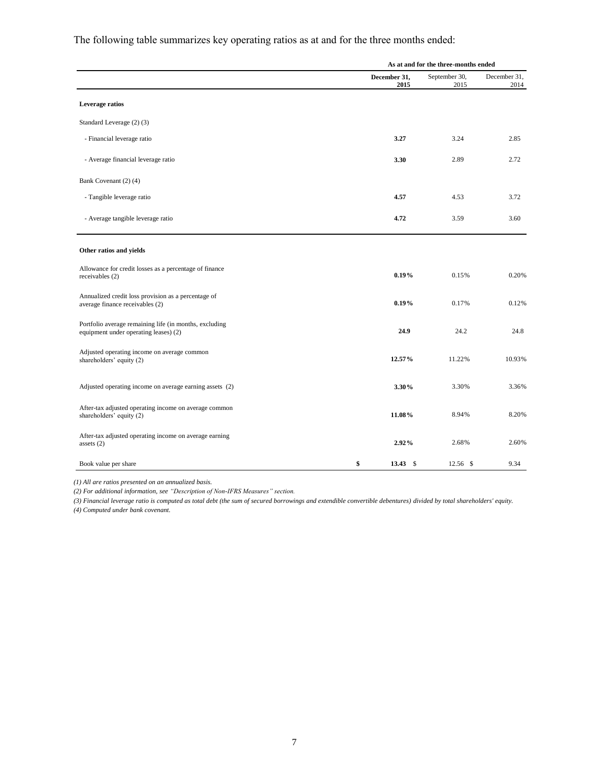The following table summarizes key operating ratios as at and for the three months ended:

|                                                                                                 |                      | As at and for the three-months ended |                      |
|-------------------------------------------------------------------------------------------------|----------------------|--------------------------------------|----------------------|
|                                                                                                 | December 31,<br>2015 | September 30,<br>2015                | December 31,<br>2014 |
| Leverage ratios                                                                                 |                      |                                      |                      |
| Standard Leverage (2) (3)                                                                       |                      |                                      |                      |
| - Financial leverage ratio                                                                      | 3.27                 | 3.24                                 | 2.85                 |
| - Average financial leverage ratio                                                              | 3.30                 | 2.89                                 | 2.72                 |
| Bank Covenant (2) (4)                                                                           |                      |                                      |                      |
| - Tangible leverage ratio                                                                       | 4.57                 | 4.53                                 | 3.72                 |
| - Average tangible leverage ratio                                                               | 4.72                 | 3.59                                 | 3.60                 |
| Other ratios and yields                                                                         |                      |                                      |                      |
| Allowance for credit losses as a percentage of finance<br>receivables (2)                       | 0.19%                | 0.15%                                | 0.20%                |
| Annualized credit loss provision as a percentage of<br>average finance receivables (2)          | 0.19%                | 0.17%                                | 0.12%                |
| Portfolio average remaining life (in months, excluding<br>equipment under operating leases) (2) | 24.9                 | 24.2                                 | 24.8                 |
| Adjusted operating income on average common<br>shareholders' equity (2)                         | 12.57%               | 11.22%                               | 10.93%               |
| Adjusted operating income on average earning assets (2)                                         | 3.30%                | 3.30%                                | 3.36%                |
| After-tax adjusted operating income on average common<br>shareholders' equity (2)               | 11.08%               | 8.94%                                | 8.20%                |
| After-tax adjusted operating income on average earning<br>assets $(2)$                          | 2.92%                | 2.68%                                | 2.60%                |
| Book value per share                                                                            | \$<br>13.43S         | $12.56$ \$                           | 9.34                 |

*(1) All are ratios presented on an annualized basis.* 

*(2) For additional information, see "Description of Non-IFRS Measures" section.*

*(3) Financial leverage ratio is computed as total debt (the sum of secured borrowings and extendible convertible debentures) divided by total shareholders' equity. (4) Computed under bank covenant.*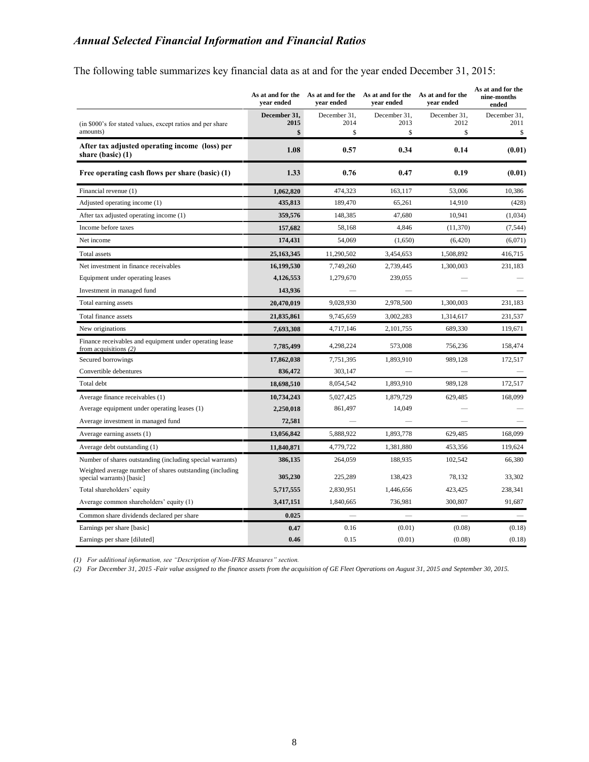## *Annual Selected Financial Information and Financial Ratios*

The following table summarizes key financial data as at and for the year ended December 31, 2015:

|                                                                                       | vear ended           | As at and for the As at and for the<br>vear ended | As at and for the<br>vear ended | As at and for the<br>vear ended | As at and for the<br>nine-months<br>ended |
|---------------------------------------------------------------------------------------|----------------------|---------------------------------------------------|---------------------------------|---------------------------------|-------------------------------------------|
| (in \$000's for stated values, except ratios and per share                            | December 31,<br>2015 | December 31,<br>2014                              | December 31,<br>2013            | December 31,<br>2012            | December 31,<br>2011                      |
| amounts)                                                                              | \$                   | \$                                                | \$                              | \$                              | \$                                        |
| After tax adjusted operating income (loss) per<br>share (basic) (1)                   | 1.08                 | 0.57                                              | 0.34                            | 0.14                            | (0.01)                                    |
| Free operating cash flows per share (basic) (1)                                       | 1.33                 | 0.76                                              | 0.47                            | 0.19                            | (0.01)                                    |
| Financial revenue (1)                                                                 | 1,062,820            | 474,323                                           | 163,117                         | 53,006                          | 10,386                                    |
| Adjusted operating income (1)                                                         | 435,813              | 189,470                                           | 65,261                          | 14,910                          | (428)                                     |
| After tax adjusted operating income (1)                                               | 359,576              | 148,385                                           | 47,680                          | 10,941                          | (1,034)                                   |
| Income before taxes                                                                   | 157,682              | 58,168                                            | 4,846                           | (11,370)                        | (7, 544)                                  |
| Net income                                                                            | 174,431              | 54,069                                            | (1,650)                         | (6,420)                         | (6,071)                                   |
| <b>Total assets</b>                                                                   | 25,163,345           | 11,290,502                                        | 3,454,653                       | 1,508,892                       | 416,715                                   |
| Net investment in finance receivables                                                 | 16,199,530           | 7,749,260                                         | 2,739,445                       | 1,300,003                       | 231,183                                   |
| Equipment under operating leases                                                      | 4,126,553            | 1,279,670                                         | 239,055                         |                                 |                                           |
| Investment in managed fund                                                            | 143,936              |                                                   |                                 |                                 |                                           |
| Total earning assets                                                                  | 20,470,019           | 9,028,930                                         | 2,978,500                       | 1,300,003                       | 231,183                                   |
| Total finance assets                                                                  | 21,835,861           | 9,745,659                                         | 3,002,283                       | 1,314,617                       | 231,537                                   |
| New originations                                                                      | 7.693.308            | 4,717,146                                         | 2,101,755                       | 689.330                         | 119,671                                   |
| Finance receivables and equipment under operating lease<br>from acquisitions $(2)$    | 7,785,499            | 4,298,224                                         | 573,008                         | 756,236                         | 158,474                                   |
| Secured borrowings                                                                    | 17,862,038           | 7,751,395                                         | 1,893,910                       | 989,128                         | 172,517                                   |
| Convertible debentures                                                                | 836,472              | 303,147                                           |                                 |                                 |                                           |
| Total debt                                                                            | 18,698,510           | 8,054,542                                         | 1,893,910                       | 989,128                         | 172,517                                   |
| Average finance receivables (1)                                                       | 10,734,243           | 5,027,425                                         | 1,879,729                       | 629,485                         | 168,099                                   |
| Average equipment under operating leases (1)                                          | 2,250,018            | 861,497                                           | 14,049                          |                                 |                                           |
| Average investment in managed fund                                                    | 72,581               |                                                   |                                 |                                 |                                           |
| Average earning assets (1)                                                            | 13,056,842           | 5,888,922                                         | 1,893,778                       | 629.485                         | 168,099                                   |
| Average debt outstanding (1)                                                          | 11,840,871           | 4,779,722                                         | 1,381,880                       | 453,356                         | 119,624                                   |
| Number of shares outstanding (including special warrants)                             | 386,135              | 264,059                                           | 188,935                         | 102,542                         | 66,380                                    |
| Weighted average number of shares outstanding (including<br>special warrants) [basic] | 305,230              | 225,289                                           | 138,423                         | 78,132                          | 33,302                                    |
| Total shareholders' equity                                                            | 5,717,555            | 2,830,951                                         | 1,446,656                       | 423,425                         | 238,341                                   |
| Average common shareholders' equity (1)                                               | 3,417,151            | 1,840,665                                         | 736,981                         | 300,807                         | 91,687                                    |
| Common share dividends declared per share                                             | 0.025                |                                                   |                                 |                                 |                                           |
| Earnings per share [basic]                                                            | 0.47                 | 0.16                                              | (0.01)                          | (0.08)                          | (0.18)                                    |
| Earnings per share [diluted]                                                          | 0.46                 | 0.15                                              | (0.01)                          | (0.08)                          | (0.18)                                    |

*(1) For additional information, see "Description of Non-IFRS Measures" section.*

*(2) For December 31, 2015 -Fair value assigned to the finance assets from the acquisition of GE Fleet Operations on August 31, 2015 and September 30, 2015.*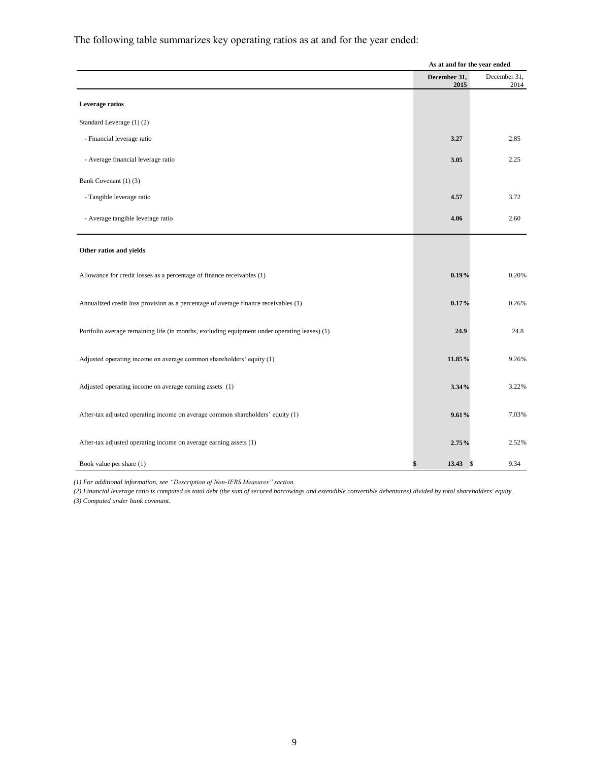The following table summarizes key operating ratios as at and for the year ended:

|                                                                                              | As at and for the year ended |                      |
|----------------------------------------------------------------------------------------------|------------------------------|----------------------|
|                                                                                              | December 31,<br>2015         | December 31,<br>2014 |
| Leverage ratios                                                                              |                              |                      |
| Standard Leverage (1)(2)                                                                     |                              |                      |
| - Financial leverage ratio                                                                   | 3.27                         | 2.85                 |
| - Average financial leverage ratio                                                           | 3.05                         | 2.25                 |
| Bank Covenant (1) (3)                                                                        |                              |                      |
| - Tangible leverage ratio                                                                    | 4.57                         | 3.72                 |
| - Average tangible leverage ratio                                                            | 4.06                         | 2.60                 |
| Other ratios and yields                                                                      |                              |                      |
| Allowance for credit losses as a percentage of finance receivables (1)                       | 0.19%                        | 0.20%                |
| Annualized credit loss provision as a percentage of average finance receivables (1)          | 0.17%                        | 0.26%                |
| Portfolio average remaining life (in months, excluding equipment under operating leases) (1) | 24.9                         | 24.8                 |
| Adjusted operating income on average common shareholders' equity (1)                         | 11.85%                       | 9.26%                |
| Adjusted operating income on average earning assets (1)                                      | 3.34%                        | 3.22%                |
| After-tax adjusted operating income on average common shareholders' equity (1)               | 9.61%                        | 7.03%                |
| After-tax adjusted operating income on average earning assets (1)                            | 2.75%                        | 2.52%                |
| Book value per share (1)                                                                     | 13.43<br>\$                  | \$<br>9.34           |

*(1) For additional information, see "Description of Non-IFRS Measures" section.*

*(2) Financial leverage ratio is computed as total debt (the sum of secured borrowings and extendible convertible debentures) divided by total shareholders' equity. (3) Computed under bank covenant.*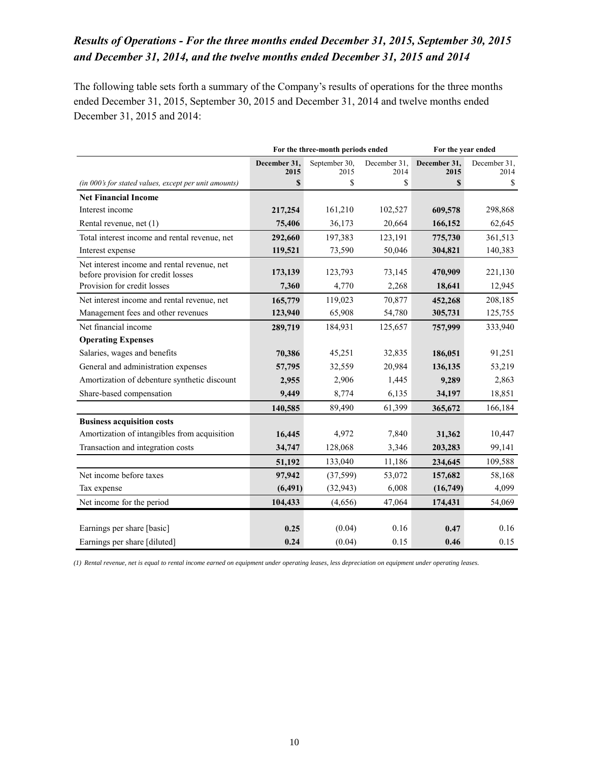## *Results of Operations - For the three months ended December 31, 2015, September 30, 2015 and December 31, 2014, and the twelve months ended December 31, 2015 and 2014*

The following table sets forth a summary of the Company's results of operations for the three months ended December 31, 2015, September 30, 2015 and December 31, 2014 and twelve months ended December 31, 2015 and 2014:

|                                                                                   | For the three-month periods ended<br>For the year ended |                       |                      |                      |                      |
|-----------------------------------------------------------------------------------|---------------------------------------------------------|-----------------------|----------------------|----------------------|----------------------|
|                                                                                   | December 31,<br>2015                                    | September 30,<br>2015 | December 31,<br>2014 | December 31,<br>2015 | December 31,<br>2014 |
| (in 000's for stated values, except per unit amounts)                             | S                                                       | \$                    | \$                   | S                    | \$                   |
| <b>Net Financial Income</b>                                                       |                                                         |                       |                      |                      |                      |
| Interest income                                                                   | 217,254                                                 | 161,210               | 102,527              | 609,578              | 298,868              |
| Rental revenue, net (1)                                                           | 75,406                                                  | 36,173                | 20,664               | 166,152              | 62,645               |
| Total interest income and rental revenue, net                                     | 292,660                                                 | 197,383               | 123,191              | 775,730              | 361,513              |
| Interest expense                                                                  | 119,521                                                 | 73,590                | 50,046               | 304,821              | 140,383              |
| Net interest income and rental revenue, net<br>before provision for credit losses | 173,139                                                 | 123,793               | 73,145               | 470,909              | 221,130              |
| Provision for credit losses                                                       | 7,360                                                   | 4,770                 | 2,268                | 18,641               | 12,945               |
| Net interest income and rental revenue, net                                       | 165,779                                                 | 119,023               | 70,877               | 452,268              | 208,185              |
| Management fees and other revenues                                                | 123,940                                                 | 65,908                | 54,780               | 305,731              | 125,755              |
| Net financial income                                                              | 289,719                                                 | 184,931               | 125,657              | 757,999              | 333,940              |
| <b>Operating Expenses</b>                                                         |                                                         |                       |                      |                      |                      |
| Salaries, wages and benefits                                                      | 70,386                                                  | 45,251                | 32,835               | 186,051              | 91,251               |
| General and administration expenses                                               | 57,795                                                  | 32,559                | 20,984               | 136,135              | 53,219               |
| Amortization of debenture synthetic discount                                      | 2,955                                                   | 2,906                 | 1,445                | 9,289                | 2,863                |
| Share-based compensation                                                          | 9,449                                                   | 8,774                 | 6,135                | 34,197               | 18,851               |
|                                                                                   | 140,585                                                 | 89,490                | 61,399               | 365,672              | 166,184              |
| <b>Business acquisition costs</b>                                                 |                                                         |                       |                      |                      |                      |
| Amortization of intangibles from acquisition                                      | 16,445                                                  | 4,972                 | 7,840                | 31,362               | 10,447               |
| Transaction and integration costs                                                 | 34,747                                                  | 128,068               | 3,346                | 203,283              | 99,141               |
|                                                                                   | 51,192                                                  | 133,040               | 11,186               | 234,645              | 109,588              |
| Net income before taxes                                                           | 97,942                                                  | (37,599)              | 53,072               | 157,682              | 58,168               |
| Tax expense                                                                       | (6, 491)                                                | (32, 943)             | 6,008                | (16,749)             | 4,099                |
| Net income for the period                                                         | 104,433                                                 | (4,656)               | 47,064               | 174,431              | 54,069               |
|                                                                                   |                                                         |                       |                      |                      |                      |
| Earnings per share [basic]                                                        | 0.25                                                    | (0.04)                | 0.16                 | 0.47                 | 0.16                 |
| Earnings per share [diluted]                                                      | 0.24                                                    | (0.04)                | 0.15                 | 0.46                 | 0.15                 |

*(1) Rental revenue, net is equal to rental income earned on equipment under operating leases, less depreciation on equipment under operating leases.*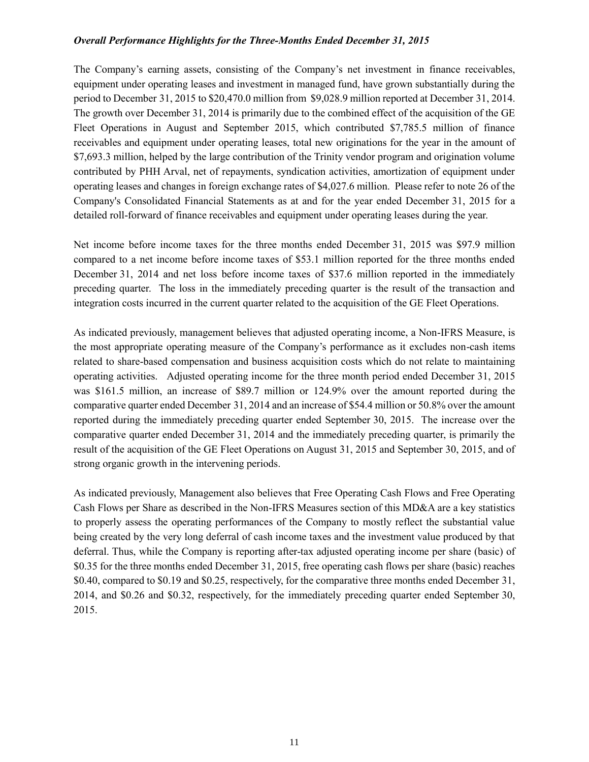### *Overall Performance Highlights for the Three-Months Ended December 31, 2015*

The Company's earning assets, consisting of the Company's net investment in finance receivables, equipment under operating leases and investment in managed fund, have grown substantially during the period to December 31, 2015 to \$20,470.0 million from \$9,028.9 million reported at December 31, 2014. The growth over December 31, 2014 is primarily due to the combined effect of the acquisition of the GE Fleet Operations in August and September 2015, which contributed \$7,785.5 million of finance receivables and equipment under operating leases, total new originations for the year in the amount of \$7,693.3 million, helped by the large contribution of the Trinity vendor program and origination volume contributed by PHH Arval, net of repayments, syndication activities, amortization of equipment under operating leases and changes in foreign exchange rates of \$4,027.6 million. Please refer to note 26 of the Company's Consolidated Financial Statements as at and for the year ended December 31, 2015 for a detailed roll-forward of finance receivables and equipment under operating leases during the year.

Net income before income taxes for the three months ended December 31, 2015 was \$97.9 million compared to a net income before income taxes of \$53.1 million reported for the three months ended December 31, 2014 and net loss before income taxes of \$37.6 million reported in the immediately preceding quarter. The loss in the immediately preceding quarter is the result of the transaction and integration costs incurred in the current quarter related to the acquisition of the GE Fleet Operations.

As indicated previously, management believes that adjusted operating income, a Non-IFRS Measure, is the most appropriate operating measure of the Company's performance as it excludes non-cash items related to share-based compensation and business acquisition costs which do not relate to maintaining operating activities. Adjusted operating income for the three month period ended December 31, 2015 was \$161.5 million, an increase of \$89.7 million or 124.9% over the amount reported during the comparative quarter ended December 31, 2014 and an increase of \$54.4 million or 50.8% over the amount reported during the immediately preceding quarter ended September 30, 2015. The increase over the comparative quarter ended December 31, 2014 and the immediately preceding quarter, is primarily the result of the acquisition of the GE Fleet Operations on August 31, 2015 and September 30, 2015, and of strong organic growth in the intervening periods.

As indicated previously, Management also believes that Free Operating Cash Flows and Free Operating Cash Flows per Share as described in the Non-IFRS Measures section of this MD&A are a key statistics to properly assess the operating performances of the Company to mostly reflect the substantial value being created by the very long deferral of cash income taxes and the investment value produced by that deferral. Thus, while the Company is reporting after-tax adjusted operating income per share (basic) of \$0.35 for the three months ended December 31, 2015, free operating cash flows per share (basic) reaches \$0.40, compared to \$0.19 and \$0.25, respectively, for the comparative three months ended December 31, 2014, and \$0.26 and \$0.32, respectively, for the immediately preceding quarter ended September 30, 2015.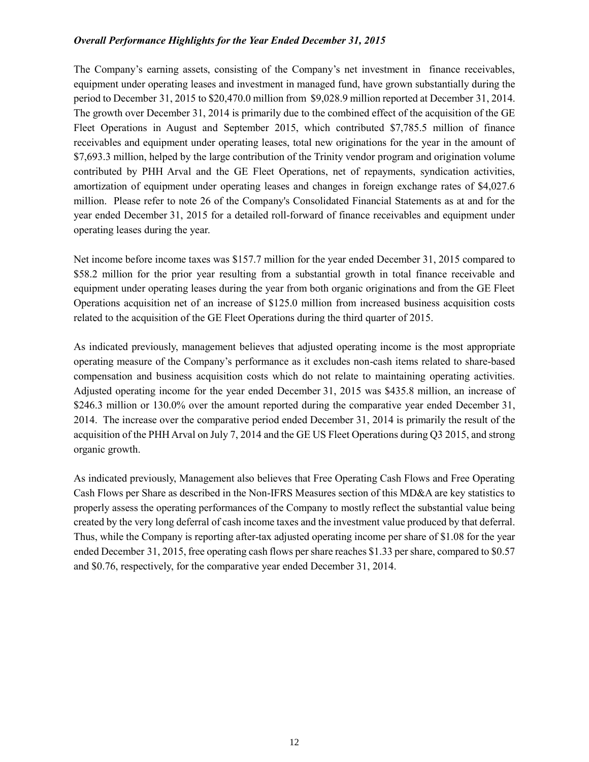### *Overall Performance Highlights for the Year Ended December 31, 2015*

The Company's earning assets, consisting of the Company's net investment in finance receivables, equipment under operating leases and investment in managed fund, have grown substantially during the period to December 31, 2015 to \$20,470.0 million from \$9,028.9 million reported at December 31, 2014. The growth over December 31, 2014 is primarily due to the combined effect of the acquisition of the GE Fleet Operations in August and September 2015, which contributed \$7,785.5 million of finance receivables and equipment under operating leases, total new originations for the year in the amount of \$7,693.3 million, helped by the large contribution of the Trinity vendor program and origination volume contributed by PHH Arval and the GE Fleet Operations, net of repayments, syndication activities, amortization of equipment under operating leases and changes in foreign exchange rates of \$4,027.6 million. Please refer to note 26 of the Company's Consolidated Financial Statements as at and for the year ended December 31, 2015 for a detailed roll-forward of finance receivables and equipment under operating leases during the year.

Net income before income taxes was \$157.7 million for the year ended December 31, 2015 compared to \$58.2 million for the prior year resulting from a substantial growth in total finance receivable and equipment under operating leases during the year from both organic originations and from the GE Fleet Operations acquisition net of an increase of \$125.0 million from increased business acquisition costs related to the acquisition of the GE Fleet Operations during the third quarter of 2015.

As indicated previously, management believes that adjusted operating income is the most appropriate operating measure of the Company's performance as it excludes non-cash items related to share-based compensation and business acquisition costs which do not relate to maintaining operating activities. Adjusted operating income for the year ended December 31, 2015 was \$435.8 million, an increase of \$246.3 million or 130.0% over the amount reported during the comparative year ended December 31, 2014. The increase over the comparative period ended December 31, 2014 is primarily the result of the acquisition of the PHH Arval on July 7, 2014 and the GE US Fleet Operations during Q3 2015, and strong organic growth.

As indicated previously, Management also believes that Free Operating Cash Flows and Free Operating Cash Flows per Share as described in the Non-IFRS Measures section of this MD&A are key statistics to properly assess the operating performances of the Company to mostly reflect the substantial value being created by the very long deferral of cash income taxes and the investment value produced by that deferral. Thus, while the Company is reporting after-tax adjusted operating income per share of \$1.08 for the year ended December 31, 2015, free operating cash flows per share reaches \$1.33 per share, compared to \$0.57 and \$0.76, respectively, for the comparative year ended December 31, 2014.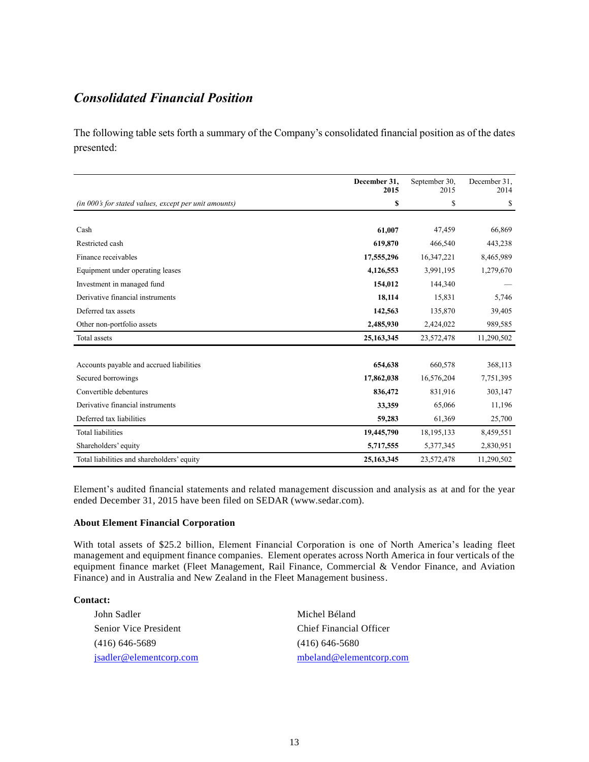# *Consolidated Financial Position*

The following table sets forth a summary of the Company's consolidated financial position as of the dates presented:

|                                                       | December 31,<br>2015 | September 30.<br>2015 | December 31,<br>2014 |
|-------------------------------------------------------|----------------------|-----------------------|----------------------|
| (in 000's for stated values, except per unit amounts) | \$                   | \$                    | \$                   |
|                                                       |                      |                       |                      |
| Cash                                                  | 61,007               | 47,459                | 66,869               |
| Restricted cash                                       | 619,870              | 466,540               | 443,238              |
| Finance receivables                                   | 17,555,296           | 16,347,221            | 8,465,989            |
| Equipment under operating leases                      | 4,126,553            | 3,991,195             | 1,279,670            |
| Investment in managed fund                            | 154,012              | 144,340               |                      |
| Derivative financial instruments                      | 18,114               | 15,831                | 5,746                |
| Deferred tax assets                                   | 142,563              | 135,870               | 39,405               |
| Other non-portfolio assets                            | 2,485,930            | 2,424,022             | 989,585              |
| Total assets                                          | 25, 163, 345         | 23,572,478            | 11,290,502           |
|                                                       |                      |                       |                      |
| Accounts payable and accrued liabilities              | 654,638              | 660,578               | 368,113              |
| Secured borrowings                                    | 17,862,038           | 16,576,204            | 7,751,395            |
| Convertible debentures                                | 836,472              | 831,916               | 303,147              |
| Derivative financial instruments                      | 33,359               | 65,066                | 11,196               |
| Deferred tax liabilities                              | 59,283               | 61,369                | 25,700               |
| <b>Total liabilities</b>                              | 19,445,790           | 18, 195, 133          | 8,459,551            |
| Shareholders' equity                                  | 5,717,555            | 5,377,345             | 2,830,951            |
| Total liabilities and shareholders' equity            | 25,163,345           | 23,572,478            | 11,290,502           |

Element's audited financial statements and related management discussion and analysis as at and for the year ended December 31, 2015 have been filed on SEDAR (www.sedar.com).

#### **About Element Financial Corporation**

With total assets of \$25.2 billion, Element Financial Corporation is one of North America's leading fleet management and equipment finance companies. Element operates across North America in four verticals of the equipment finance market (Fleet Management, Rail Finance, Commercial & Vendor Finance, and Aviation Finance) and in Australia and New Zealand in the Fleet Management business.

### **Contact:**

| John Sadler                  | Michel Béland           |
|------------------------------|-------------------------|
| <b>Senior Vice President</b> | Chief Financial Officer |
| $(416)$ 646-5689             | $(416)$ 646-5680        |
| isadler@elementcorp.com      | mbeland@elementcorp.com |